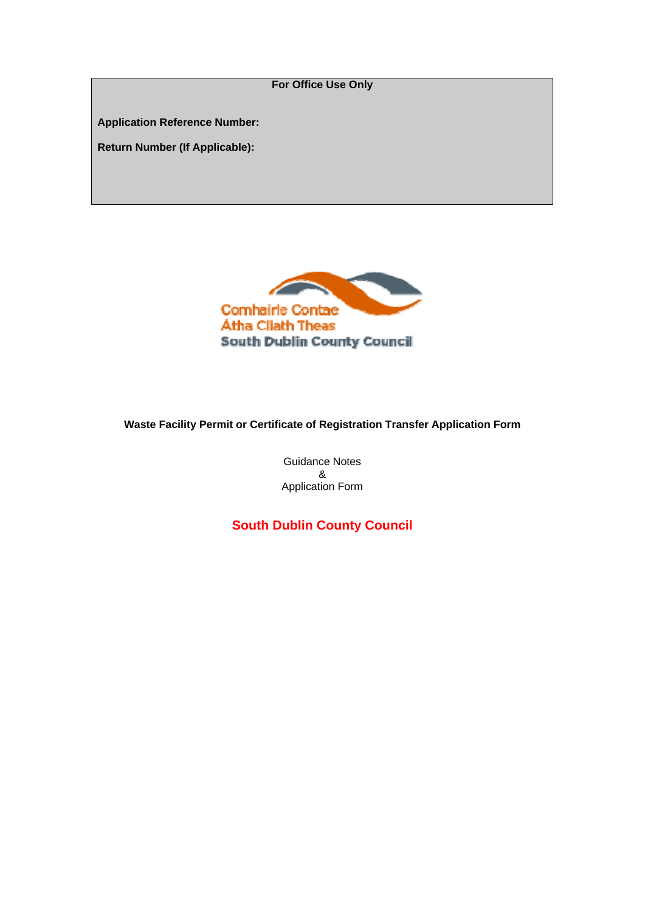**For Office Use Only Application Reference Number: Return Number (If Applicable):** 



# **Waste Facility Permit or Certificate of Registration Transfer Application Form**

Guidance Notes & Application Form

**South Dublin County Council**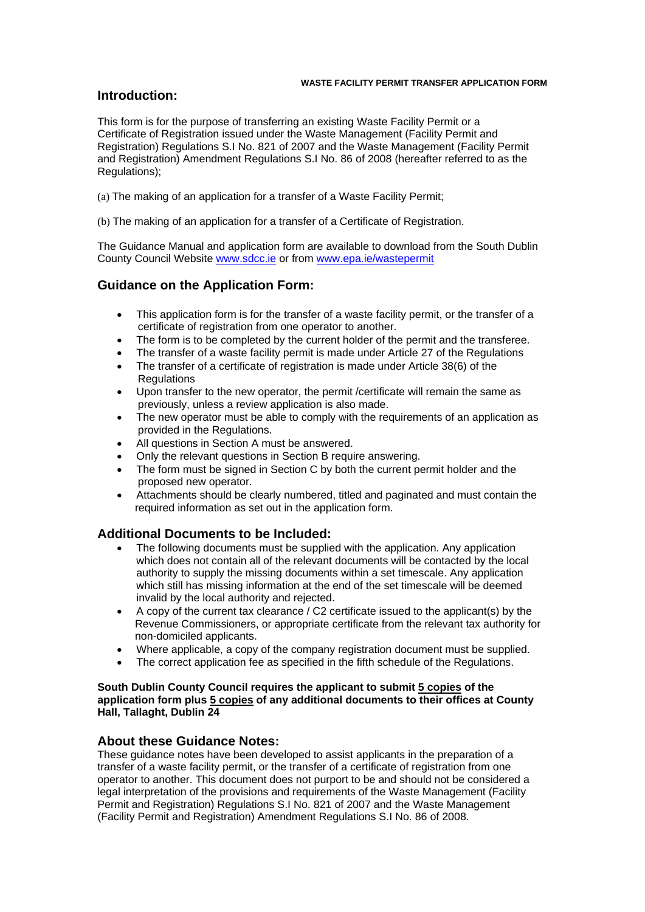# **Introduction:**

This form is for the purpose of transferring an existing Waste Facility Permit or a Certificate of Registration issued under the Waste Management (Facility Permit and Registration) Regulations S.I No. 821 of 2007 and the Waste Management (Facility Permit and Registration) Amendment Regulations S.I No. 86 of 2008 (hereafter referred to as the Regulations);

(a) The making of an application for a transfer of a Waste Facility Permit;

(b) The making of an application for a transfer of a Certificate of Registration.

The Guidance Manual and application form are available to download from the South Dublin County Council Website [www.sdcc.ie](http://www.sdcc.ie/) or from [www.epa.ie/wastepermit](http://www.epa.ie/wastepermit) 

# **Guidance on the Application Form:**

- This application form is for the transfer of a waste facility permit, or the transfer of a certificate of registration from one operator to another.
- The form is to be completed by the current holder of the permit and the transferee.
- The transfer of a waste facility permit is made under Article 27 of the Regulations
- The transfer of a certificate of registration is made under Article 38(6) of the **Regulations**
- Upon transfer to the new operator, the permit /certificate will remain the same as previously, unless a review application is also made.
- The new operator must be able to comply with the requirements of an application as provided in the Regulations.
- All questions in Section A must be answered.
- Only the relevant questions in Section B require answering.
- The form must be signed in Section C by both the current permit holder and the proposed new operator.
- Attachments should be clearly numbered, titled and paginated and must contain the required information as set out in the application form.

# **Additional Documents to be Included:**

- The following documents must be supplied with the application. Any application which does not contain all of the relevant documents will be contacted by the local authority to supply the missing documents within a set timescale. Any application which still has missing information at the end of the set timescale will be deemed invalid by the local authority and rejected.
- A copy of the current tax clearance / C2 certificate issued to the applicant(s) by the Revenue Commissioners, or appropriate certificate from the relevant tax authority for non-domiciled applicants.
- Where applicable, a copy of the company registration document must be supplied.
- The correct application fee as specified in the fifth schedule of the Regulations.

### **South Dublin County Council requires the applicant to submit 5 copies of the application form plus 5 copies of any additional documents to their offices at County Hall, Tallaght, Dublin 24**

# **About these Guidance Notes:**

These guidance notes have been developed to assist applicants in the preparation of a transfer of a waste facility permit, or the transfer of a certificate of registration from one operator to another. This document does not purport to be and should not be considered a legal interpretation of the provisions and requirements of the Waste Management (Facility Permit and Registration) Regulations S.I No. 821 of 2007 and the Waste Management (Facility Permit and Registration) Amendment Regulations S.I No. 86 of 2008.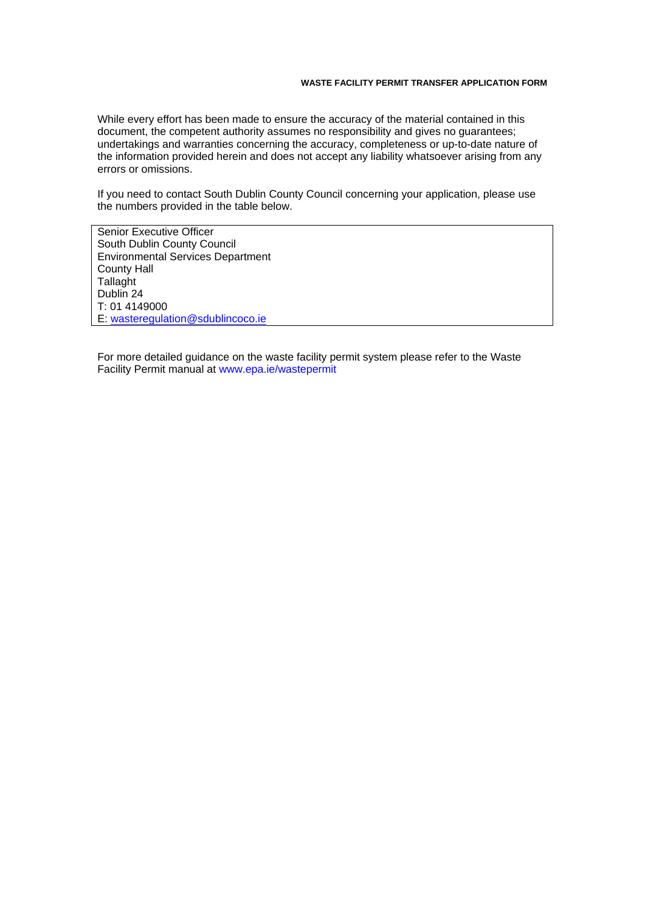While every effort has been made to ensure the accuracy of the material contained in this document, the competent authority assumes no responsibility and gives no guarantees; undertakings and warranties concerning the accuracy, completeness or up-to-date nature of the information provided herein and does not accept any liability whatsoever arising from any errors or omissions.

If you need to contact South Dublin County Council concerning your application, please use the numbers provided in the table below.

Senior Executive Officer South Dublin County Council Environmental Services Department County Hall **Tallaght** Dublin 24 T: 01 4149000 E: [wasteregulation@sdublincoco.ie](mailto:wasteregulation@sdublincoco.ie) 

For more detailed guidance on the waste facility permit system please refer to the Waste Facility Permit manual at www.epa.ie/wastepermit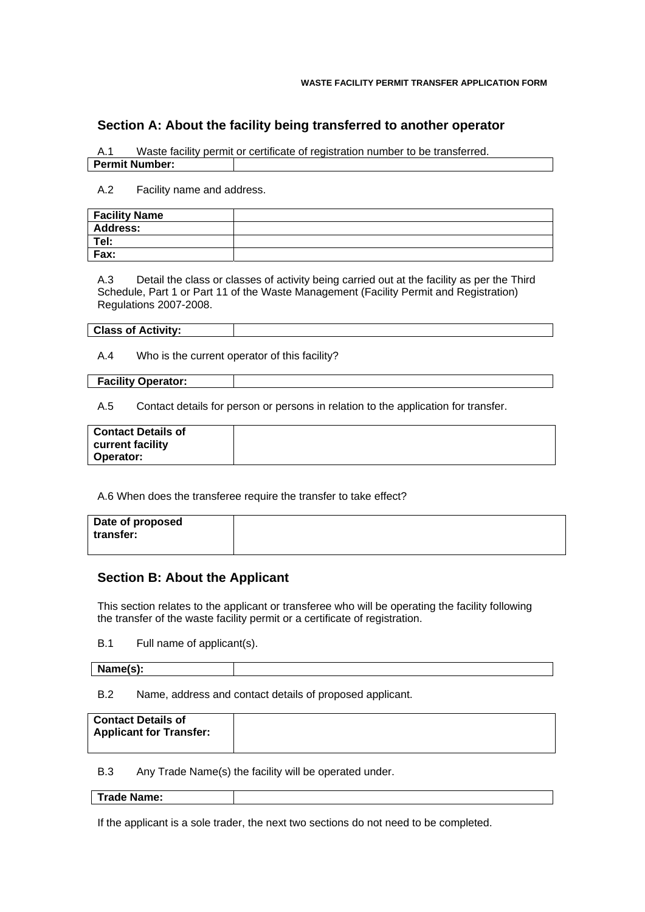# **Section A: About the facility being transferred to another operator**

A.1 Waste facility permit or certificate of registration number to be transferred.

**Permit Number:** 

A.2 Facility name and address.

| <b>Facility Name</b> |  |
|----------------------|--|
| <b>Address:</b>      |  |
| Tel:                 |  |
| Fax:                 |  |

A.3 Detail the class or classes of activity being carried out at the facility as per the Third Schedule, Part 1 or Part 11 of the Waste Management (Facility Permit and Registration) Regulations 2007-2008.

### **Class of Activity:**

A.4 Who is the current operator of this facility?

#### **Facility Operator:**

A.5 Contact details for person or persons in relation to the application for transfer.

| <b>Contact Details of</b> |  |
|---------------------------|--|
| current facility          |  |
| Operator:                 |  |

A.6 When does the transferee require the transfer to take effect?

| Date of proposed<br>transfer: |  |
|-------------------------------|--|
|                               |  |

# **Section B: About the Applicant**

This section relates to the applicant or transferee who will be operating the facility following the transfer of the waste facility permit or a certificate of registration.

B.1 Full name of applicant(s).

| Name(s): |  |
|----------|--|
|          |  |

B.2 Name, address and contact details of proposed applicant.

| <b>Contact Details of</b>      |  |
|--------------------------------|--|
| <b>Applicant for Transfer:</b> |  |
|                                |  |

B.3 Any Trade Name(s) the facility will be operated under.

**Trade Name:** 

If the applicant is a sole trader, the next two sections do not need to be completed.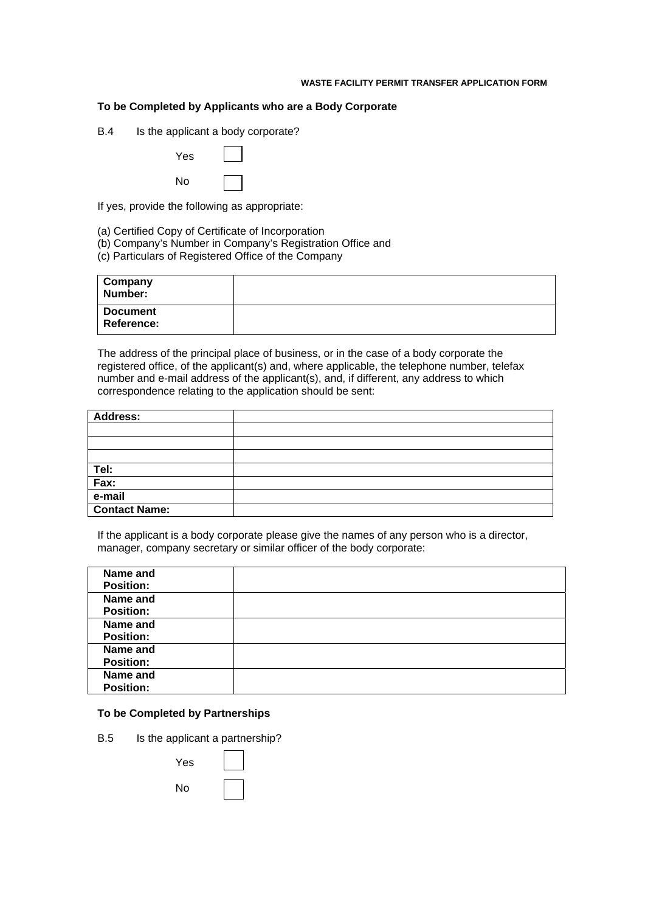### **To be Completed by Applicants who are a Body Corporate**

B.4 Is the applicant a body corporate?

| Yes |  |
|-----|--|
| No  |  |

If yes, provide the following as appropriate:

- (a) Certified Copy of Certificate of Incorporation
- (b) Company's Number in Company's Registration Office and
- (c) Particulars of Registered Office of the Company

| <b>Company</b><br>Number:            |  |
|--------------------------------------|--|
| <b>Document</b><br><b>Reference:</b> |  |

The address of the principal place of business, or in the case of a body corporate the registered office, of the applicant(s) and, where applicable, the telephone number, telefax number and e-mail address of the applicant(s), and, if different, any address to which correspondence relating to the application should be sent:

| <b>Address:</b>      |  |
|----------------------|--|
|                      |  |
|                      |  |
|                      |  |
| Tel:                 |  |
| Fax:                 |  |
| e-mail               |  |
| <b>Contact Name:</b> |  |

If the applicant is a body corporate please give the names of any person who is a director, manager, company secretary or similar officer of the body corporate:

| Name and<br><b>Position:</b> |  |
|------------------------------|--|
| Name and<br><b>Position:</b> |  |
| Name and<br><b>Position:</b> |  |
| Name and<br><b>Position:</b> |  |
| Name and<br><b>Position:</b> |  |

## **To be Completed by Partnerships**

B.5 Is the applicant a partnership?

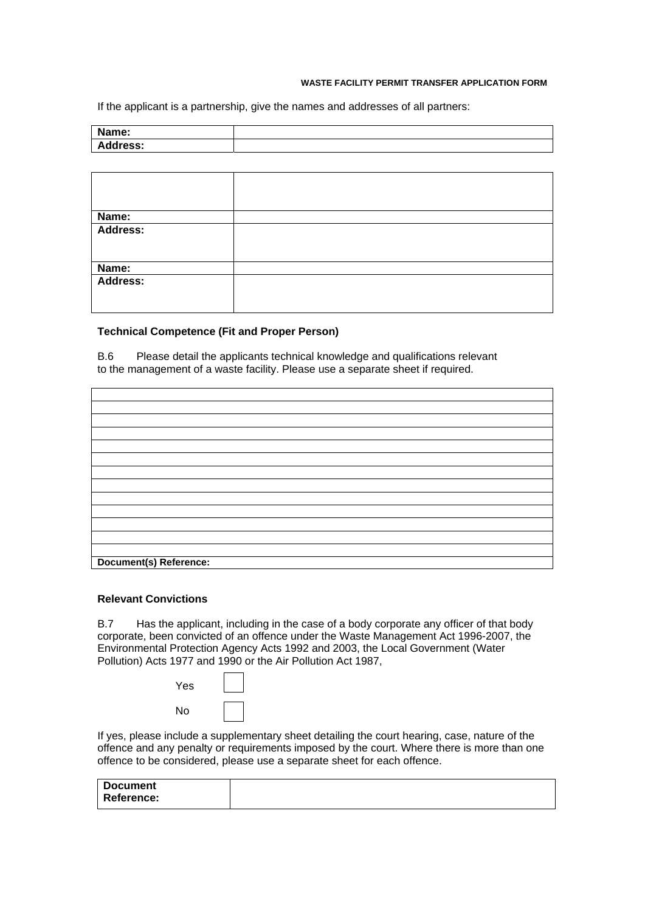If the applicant is a partnership, give the names and addresses of all partners:

| Name:           |  |
|-----------------|--|
| <b>Address:</b> |  |

| Name:             |  |  |
|-------------------|--|--|
| Address:          |  |  |
|                   |  |  |
| Name:<br>Address: |  |  |
|                   |  |  |
|                   |  |  |

### **Technical Competence (Fit and Proper Person)**

B.6 Please detail the applicants technical knowledge and qualifications relevant to the management of a waste facility. Please use a separate sheet if required.

| Document(s) Reference: |  |
|------------------------|--|

### **Relevant Convictions**

B.7 Has the applicant, including in the case of a body corporate any officer of that body corporate, been convicted of an offence under the Waste Management Act 1996-2007, the Environmental Protection Agency Acts 1992 and 2003, the Local Government (Water Pollution) Acts 1977 and 1990 or the Air Pollution Act 1987,

| Yes |  |
|-----|--|
| No  |  |

If yes, please include a supplementary sheet detailing the court hearing, case, nature of the offence and any penalty or requirements imposed by the court. Where there is more than one offence to be considered, please use a separate sheet for each offence.

| <b>Document</b> |  |
|-----------------|--|
| Reference:      |  |